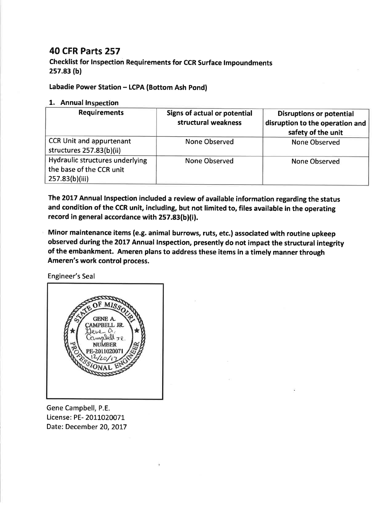## 40 CFR Parts 257

checklist for Inspection Requirements for ccR surface lmpoundments 2s7.83 (b)

Labadie Power Station - LCPA (Bottom Ash Pond)

## 1. Annual Inspection

| <b>Requirements</b>                                                           | <b>Signs of actual or potential</b><br>structural weakness | <b>Disruptions or potential</b><br>disruption to the operation and<br>safety of the unit |
|-------------------------------------------------------------------------------|------------------------------------------------------------|------------------------------------------------------------------------------------------|
| <b>CCR Unit and appurtenant</b><br>structures 257.83(b)(ii)                   | <b>None Observed</b>                                       | <b>None Observed</b>                                                                     |
| Hydraulic structures underlying<br>the base of the CCR unit<br>257.83(b)(iii) | <b>None Observed</b>                                       | None Observed                                                                            |

The 2017 Annual lnspection included a review of available information regarding the status and condition of the CCR unit, including, but not limited to, files available in the operating record in general accordance with 257.83(b)(i).

Minor maintenance items (e.g. animal burrows, ruts, etc.) associated with routine upkeep observed during the 2017 Annual lnspection, presently do not impact the structural integrity of the embankment. Ameren plans to address these items in a timely manner through Ameren's work control process.

Engineer's Seal



Gene Campbell, P.E. License: PE- 2011020071 Date: December 20, 2017